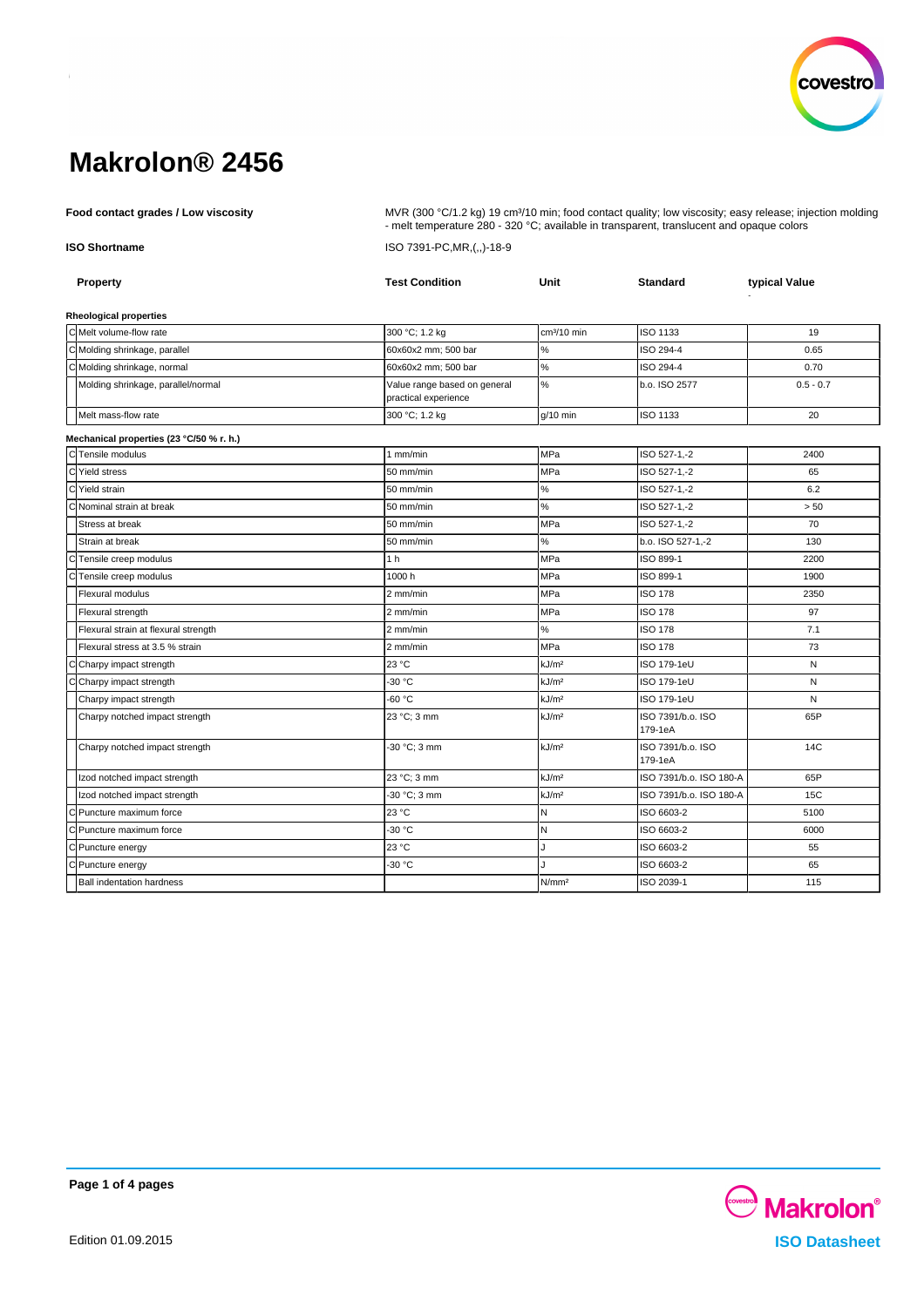

**Food contact grades / Low viscosity** MVR (300 °C/1.2 kg) 19 cm<sup>3</sup>/10 min; food contact quality; low viscosity; easy release; injection molding - melt temperature 280 - 320 °C; available in transparent, translucent and opaque colors **ISO Shortname** ISO 7391-PC,MR,(,,)-18-9

| <b>Property</b>                          | <b>Test Condition</b>                                | Unit              | <b>Standard</b>              | typical Value |
|------------------------------------------|------------------------------------------------------|-------------------|------------------------------|---------------|
| <b>Rheological properties</b>            |                                                      |                   |                              |               |
| C Melt volume-flow rate                  | 300 °C; 1.2 kg                                       | $cm3/10$ min      | ISO 1133                     | 19            |
| C Molding shrinkage, parallel            | 60x60x2 mm; 500 bar                                  | %                 | ISO 294-4                    | 0.65          |
| C Molding shrinkage, normal              | 60x60x2 mm; 500 bar                                  | $\%$              | ISO 294-4                    | 0.70          |
| Molding shrinkage, parallel/normal       | Value range based on general<br>practical experience | $\%$              | b.o. ISO 2577                | $0.5 - 0.7$   |
| Melt mass-flow rate                      | 300 °C; 1.2 kg                                       | $q/10$ min        | ISO 1133                     | 20            |
| Mechanical properties (23 °C/50 % r. h.) |                                                      |                   |                              |               |
| CTensile modulus                         | $1$ mm/min                                           | <b>MPa</b>        | ISO 527-1.-2                 | 2400          |
| d<br>Yield stress                        | 50 mm/min                                            | MPa               | ISO 527-1,-2                 | 65            |
| C Yield strain                           | 50 mm/min                                            | $\%$              | ISO 527-1,-2                 | 6.2           |
| C Nominal strain at break                | 50 mm/min                                            | $\%$              | ISO 527-1,-2                 | > 50          |
| Stress at break                          | 50 mm/min                                            | MPa               | ISO 527-1.-2                 | 70            |
| Strain at break                          | 50 mm/min                                            | $\%$              | b.o. ISO 527-1,-2            | 130           |
| C<br>Tensile creep modulus               | 1 <sub>h</sub>                                       | MPa               | ISO 899-1                    | 2200          |
| Tensile creep modulus<br>С               | 1000h                                                | MPa               | ISO 899-1                    | 1900          |
| <b>Flexural modulus</b>                  | 2 mm/min                                             | <b>MPa</b>        | <b>ISO 178</b>               | 2350          |
| Flexural strength                        | 2 mm/min                                             | MPa               | <b>ISO 178</b>               | 97            |
| Flexural strain at flexural strength     | 2 mm/min                                             | $\%$              | <b>ISO 178</b>               | 7.1           |
| Flexural stress at 3.5 % strain          | 2 mm/min                                             | <b>MPa</b>        | <b>ISO 178</b>               | 73            |
| C Charpy impact strength                 | 23 °C                                                | kJ/m <sup>2</sup> | ISO 179-1eU                  | N             |
| C Charpy impact strength                 | -30 °C                                               | kJ/m <sup>2</sup> | ISO 179-1eU                  | N             |
| Charpy impact strength                   | $-60 °C$                                             | kJ/m <sup>2</sup> | ISO 179-1eU                  | N             |
| Charpy notched impact strength           | 23 °C; 3 mm                                          | kJ/m <sup>2</sup> | ISO 7391/b.o. ISO<br>179-1eA | 65P           |
| Charpy notched impact strength           | -30 °C; 3 mm                                         | kJ/m <sup>2</sup> | ISO 7391/b.o. ISO<br>179-1eA | 14C           |
| Izod notched impact strength             | 23 °C; 3 mm                                          | kJ/m <sup>2</sup> | ISO 7391/b.o. ISO 180-A      | 65P           |
| Izod notched impact strength             | -30 °C; 3 mm                                         | kJ/m <sup>2</sup> | ISO 7391/b.o. ISO 180-A      | 15C           |
| C Puncture maximum force                 | 23 °C                                                | N                 | ISO 6603-2                   | 5100          |
| Cl Puncture maximum force                | $-30 °C$                                             | N                 | ISO 6603-2                   | 6000          |
| C Puncture energy                        | 23 °C                                                | J                 | ISO 6603-2                   | 55            |
| C Puncture energy                        | -30 °C                                               | J.                | ISO 6603-2                   | 65            |
| <b>Ball indentation hardness</b>         |                                                      | N/mm <sup>2</sup> | ISO 2039-1                   | 115           |

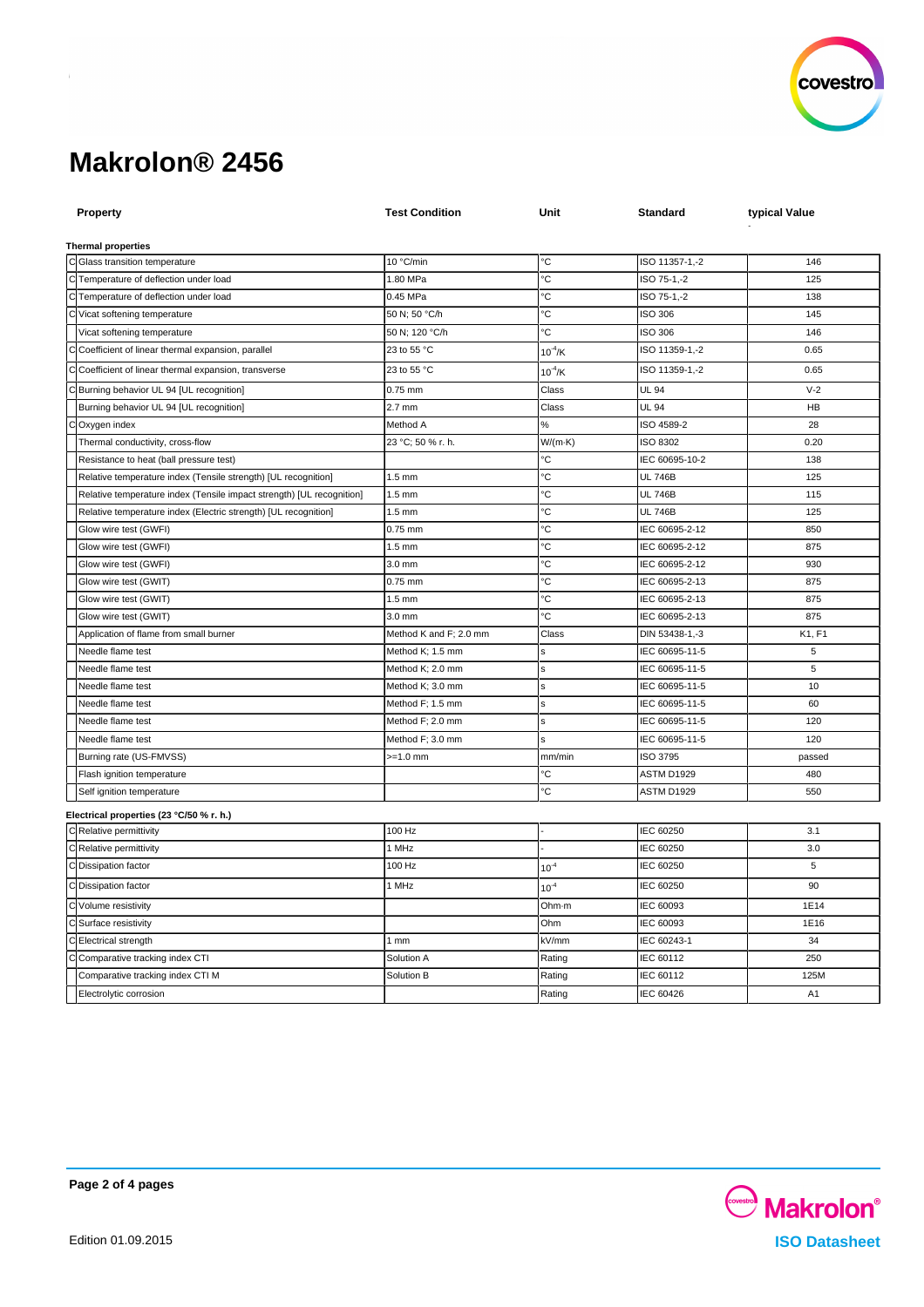

| <b>Property</b>                                                       | <b>Test Condition</b>  | Unit            | Standard        | typical Value  |
|-----------------------------------------------------------------------|------------------------|-----------------|-----------------|----------------|
|                                                                       |                        |                 |                 |                |
| <b>Thermal properties</b>                                             |                        |                 |                 |                |
| C Glass transition temperature                                        | 10 °C/min              | °C              | ISO 11357-1,-2  | 146            |
| C Temperature of deflection under load                                | 1.80 MPa               | ۰C              | ISO 75-1,-2     | 125            |
| C Temperature of deflection under load                                | 0.45 MPa               | °C              | ISO 75-1,-2     | 138            |
| C Vicat softening temperature                                         | 50 N; 50 °C/h          | °C              | <b>ISO 306</b>  | 145            |
| Vicat softening temperature                                           | 50 N; 120 °C/h         | °С              | ISO 306         | 146            |
| Coefficient of linear thermal expansion, parallel                     | 23 to 55 °C            | $10^{-4}$ /K    | ISO 11359-1,-2  | 0.65           |
| Coefficient of linear thermal expansion, transverse                   | 23 to 55 °C            | $10^{4}$ /K     | ISO 11359-1,-2  | 0.65           |
| Burning behavior UL 94 [UL recognition]                               | 0.75 mm                | Class           | <b>UL 94</b>    | $V-2$          |
| Burning behavior UL 94 [UL recognition]                               | $2.7$ mm               | Class           | <b>UL 94</b>    | <b>HB</b>      |
| Oxygen index                                                          | Method A               | %               | ISO 4589-2      | 28             |
| Thermal conductivity, cross-flow                                      | 23 °C; 50 % r. h.      | $W/(m \cdot K)$ | ISO 8302        | 0.20           |
| Resistance to heat (ball pressure test)                               |                        | °С              | IEC 60695-10-2  | 138            |
| Relative temperature index (Tensile strength) [UL recognition]        | $1.5 \text{ mm}$       | °C              | <b>UL 746B</b>  | 125            |
| Relative temperature index (Tensile impact strength) [UL recognition] | $1.5$ mm               | ۰C              | <b>UL 746B</b>  | 115            |
| Relative temperature index (Electric strength) [UL recognition]       | $1.5$ mm               | °С              | <b>UL 746B</b>  | 125            |
| Glow wire test (GWFI)                                                 | $0.75$ mm              | °C              | IEC 60695-2-12  | 850            |
| Glow wire test (GWFI)                                                 | $1.5$ mm               | °С              | IEC 60695-2-12  | 875            |
| Glow wire test (GWFI)                                                 | 3.0 mm                 | °С              | IEC 60695-2-12  | 930            |
| Glow wire test (GWIT)                                                 | 0.75 mm                | °C              | IEC 60695-2-13  | 875            |
| Glow wire test (GWIT)                                                 | $1.5 \text{ mm}$       | °C              | IEC 60695-2-13  | 875            |
| Glow wire test (GWIT)                                                 | 3.0 mm                 | °C              | IEC 60695-2-13  | 875            |
| Application of flame from small burner                                | Method K and F; 2.0 mm | Class           | DIN 53438-1,-3  | K1, F1         |
| Needle flame test                                                     | Method K; 1.5 mm       | s               | IEC 60695-11-5  | 5              |
| Needle flame test                                                     | Method K; 2.0 mm       | ś               | IEC 60695-11-5  | 5              |
| Needle flame test                                                     | Method K; 3.0 mm       | ś               | IEC 60695-11-5  | 10             |
| Needle flame test                                                     | Method F; 1.5 mm       | s               | IEC 60695-11-5  | 60             |
| Needle flame test                                                     | Method F; 2.0 mm       | ś               | IEC 60695-11-5  | 120            |
| Needle flame test                                                     | Method F; 3.0 mm       | s               | IEC 60695-11-5  | 120            |
| Burning rate (US-FMVSS)                                               | $>=1.0$ mm             | mm/min          | <b>ISO 3795</b> | passed         |
| Flash ignition temperature                                            |                        | °C              | ASTM D1929      | 480            |
| Self ignition temperature                                             |                        | °C              | ASTM D1929      | 550            |
| Electrical properties (23 °C/50 % r. h.)                              |                        |                 |                 |                |
| C Relative permittivity                                               | 100 Hz                 |                 | IEC 60250       | 3.1            |
| Relative permittivity<br>С                                            | 1 MHz                  |                 | IEC 60250       | 3.0            |
| C Dissipation factor                                                  | 100 Hz                 | $10^{-4}$       | IEC 60250       | 5              |
| <b>Dissipation factor</b><br>С                                        | 1 MHz                  | $10^{-4}$       | IEC 60250       | 90             |
| C Volume resistivity                                                  |                        | Ohm-m           | IEC 60093       | 1E14           |
| C Surface resistivity                                                 |                        | Ohm             | IEC 60093       | 1E16           |
| Electrical strength<br>Ċ                                              | 1 <sub>mm</sub>        | kV/mm           | IEC 60243-1     | 34             |
| Comparative tracking index CTI                                        | Solution A             | Rating          | IEC 60112       | 250            |
| Comparative tracking index CTI M                                      | Solution B             | Rating          | IEC 60112       | 125M           |
| Electrolytic corrosion                                                |                        | Rating          | IEC 60426       | A <sub>1</sub> |
|                                                                       |                        |                 |                 |                |

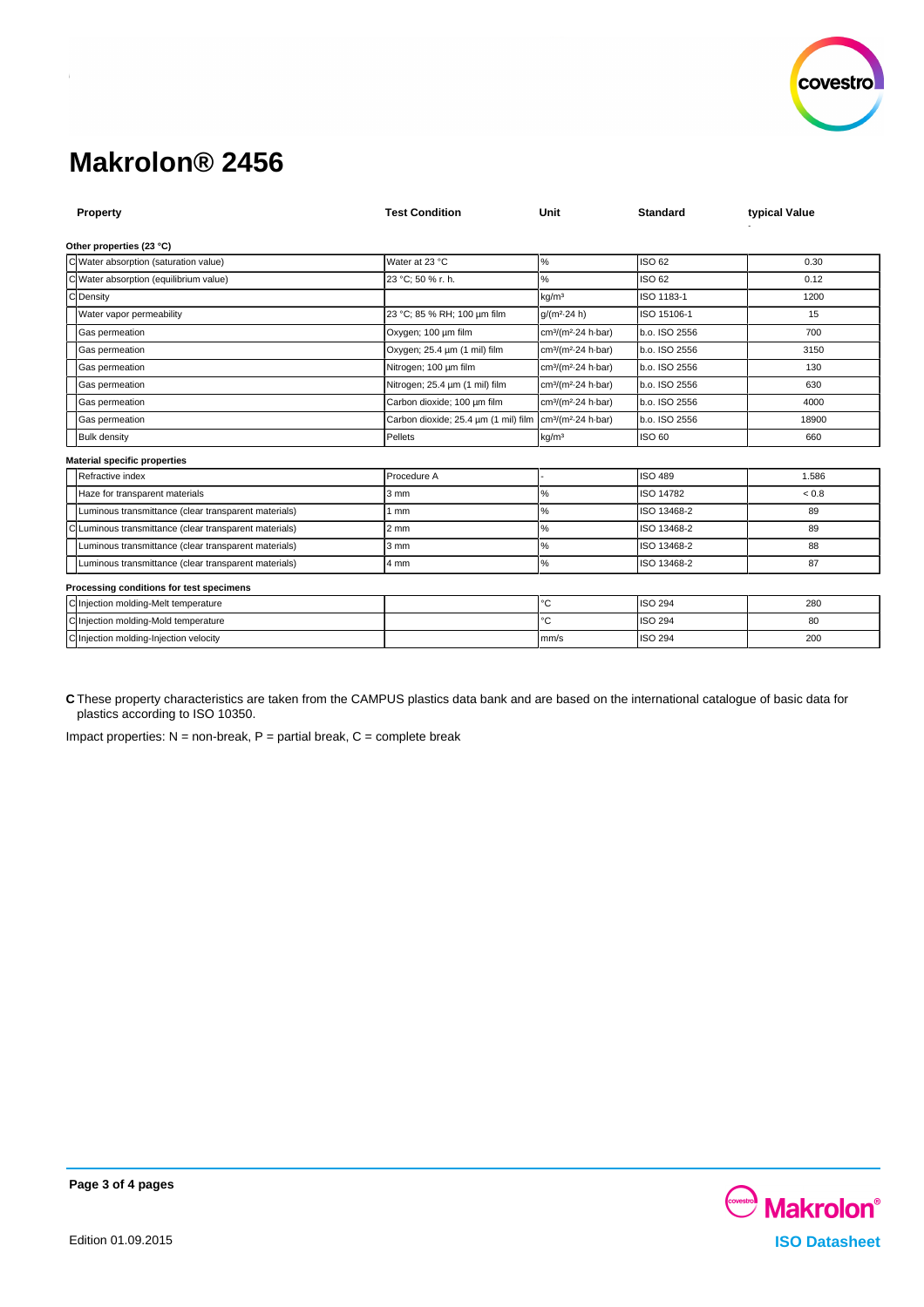

| Property                                             | <b>Test Condition</b>                                                             | Unit                                        | <b>Standard</b> | typical Value |  |  |  |  |
|------------------------------------------------------|-----------------------------------------------------------------------------------|---------------------------------------------|-----------------|---------------|--|--|--|--|
| Other properties (23 °C)                             |                                                                                   |                                             |                 |               |  |  |  |  |
| C Water absorption (saturation value)                | Water at 23 °C                                                                    | $\%$                                        | ISO 62          | 0.30          |  |  |  |  |
| Water absorption (equilibrium value)                 | 23 °C; 50 % r. h.                                                                 | %                                           | ISO 62          | 0.12          |  |  |  |  |
| $\Gamma$<br>Density                                  |                                                                                   | kg/m <sup>3</sup>                           | ISO 1183-1      | 1200          |  |  |  |  |
| Water vapor permeability                             | 23 °C; 85 % RH; 100 um film                                                       | $q/(m^2.24 h)$                              | ISO 15106-1     | 15            |  |  |  |  |
| Gas permeation                                       | Oxygen; 100 µm film                                                               | cm <sup>3</sup> /(m <sup>2</sup> -24 h-bar) | b.o. ISO 2556   | 700           |  |  |  |  |
| Gas permeation                                       | Oxygen; 25.4 um (1 mil) film                                                      | cm <sup>3</sup> /(m <sup>2</sup> 24 h bar)  | b.o. ISO 2556   | 3150          |  |  |  |  |
| Gas permeation                                       | Nitrogen; 100 um film                                                             | cm <sup>3</sup> /(m <sup>2</sup> -24 h-bar) | b.o. ISO 2556   | 130           |  |  |  |  |
| Gas permeation                                       | Nitrogen; 25.4 µm (1 mil) film                                                    | cm <sup>3</sup> /(m <sup>2</sup> 24 h bar)  | b.o. ISO 2556   | 630           |  |  |  |  |
| Gas permeation                                       | Carbon dioxide; 100 um film                                                       | cm <sup>3</sup> /(m <sup>2</sup> 24 h bar)  | b.o. ISO 2556   | 4000          |  |  |  |  |
| Gas permeation                                       | Carbon dioxide; 25.4 um (1 mil) film   cm <sup>3</sup> /(m <sup>2</sup> 24 h bar) |                                             | b.o. ISO 2556   | 18900         |  |  |  |  |
| <b>Bulk density</b>                                  | Pellets                                                                           | kg/m <sup>3</sup>                           | ISO 60          | 660           |  |  |  |  |
| <b>Material specific properties</b>                  |                                                                                   |                                             |                 |               |  |  |  |  |
| Refractive index                                     | Procedure A                                                                       |                                             | <b>ISO 489</b>  | 1.586         |  |  |  |  |
| Haze for transparent materials                       | 3 mm                                                                              | ℅                                           | ISO 14782       | ${}_{0.8}$    |  |  |  |  |
| Luminous transmittance (clear transparent materials) | 1 mm                                                                              | %                                           | ISO 13468-2     | 89            |  |  |  |  |
| Luminous transmittance (clear transparent materials) | $2 \, \text{mm}$                                                                  | ℅                                           | ISO 13468-2     | 89            |  |  |  |  |
| Luminous transmittance (clear transparent materials) | $3 \, \text{mm}$                                                                  | %                                           | ISO 13468-2     | 88            |  |  |  |  |
| Luminous transmittance (clear transparent materials) | 4 mm                                                                              | %                                           | ISO 13468-2     | 87            |  |  |  |  |
| Processing conditions for test specimens             |                                                                                   |                                             |                 |               |  |  |  |  |
| C Injection molding-Melt temperature                 |                                                                                   | °C                                          | <b>ISO 294</b>  | 280           |  |  |  |  |
| C Injection molding-Mold temperature                 |                                                                                   | °C                                          | <b>ISO 294</b>  | 80            |  |  |  |  |
| C Injection molding-Injection velocity               |                                                                                   | mm/s                                        | <b>ISO 294</b>  | 200           |  |  |  |  |

**C** These property characteristics are taken from the CAMPUS plastics data bank and are based on the international catalogue of basic data for plastics according to ISO 10350.

Impact properties:  $N = non-breaking$ ,  $P =$  partial break,  $C =$  complete break